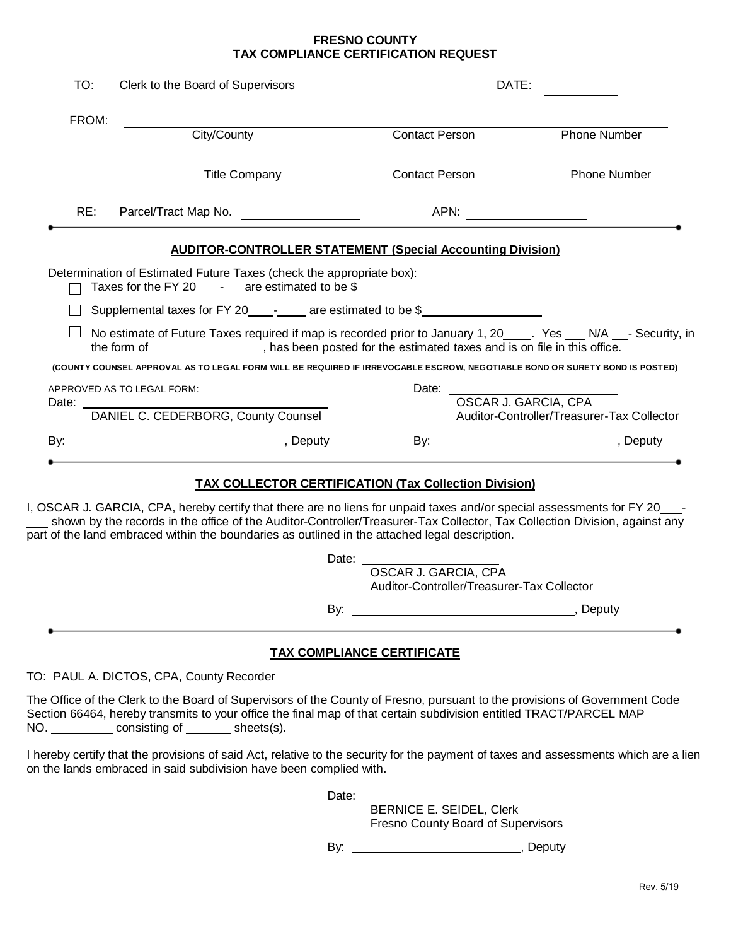## **FRESNO COUNTY TAX COMPLIANCE CERTIFICATION REQUEST**

| TO:          | Clerk to the Board of Supervisors                                                                                                                                                                                                                                                                                                                          | DATE:                                                              |                                            |
|--------------|------------------------------------------------------------------------------------------------------------------------------------------------------------------------------------------------------------------------------------------------------------------------------------------------------------------------------------------------------------|--------------------------------------------------------------------|--------------------------------------------|
| FROM:        | City/County                                                                                                                                                                                                                                                                                                                                                | <b>Contact Person</b>                                              | <b>Phone Number</b>                        |
|              | <b>Title Company</b>                                                                                                                                                                                                                                                                                                                                       | <b>Contact Person</b>                                              | <b>Phone Number</b>                        |
| RE:          | Parcel/Tract Map No.                                                                                                                                                                                                                                                                                                                                       |                                                                    |                                            |
|              | <b>AUDITOR-CONTROLLER STATEMENT (Special Accounting Division)</b>                                                                                                                                                                                                                                                                                          |                                                                    |                                            |
|              | Determination of Estimated Future Taxes (check the appropriate box):<br>Taxes for the FY 20_____-__ are estimated to be \$__________________                                                                                                                                                                                                               |                                                                    |                                            |
|              | Supplemental taxes for FY 20_________ are estimated to be \$_________                                                                                                                                                                                                                                                                                      |                                                                    |                                            |
|              | No estimate of Future Taxes required if map is recorded prior to January 1, 20_____. Yes ___ N/A ___- Security, in<br>the form of ________________, has been posted for the estimated taxes and is on file in this office.                                                                                                                                 |                                                                    |                                            |
|              | (COUNTY COUNSEL APPROVAL AS TO LEGAL FORM WILL BE REQUIRED IF IRREVOCABLE ESCROW, NEGOTIABLE BOND OR SURETY BOND IS POSTED)                                                                                                                                                                                                                                |                                                                    |                                            |
| Date: $\_\_$ | APPROVED AS TO LEGAL FORM:                                                                                                                                                                                                                                                                                                                                 | Date: <u>________________________________</u>                      | OSCAR J. GARCIA, CPA                       |
|              | DANIEL C. CEDERBORG, County Counsel                                                                                                                                                                                                                                                                                                                        |                                                                    | Auditor-Controller/Treasurer-Tax Collector |
|              |                                                                                                                                                                                                                                                                                                                                                            |                                                                    |                                            |
|              |                                                                                                                                                                                                                                                                                                                                                            |                                                                    |                                            |
|              |                                                                                                                                                                                                                                                                                                                                                            | <b>TAX COLLECTOR CERTIFICATION (Tax Collection Division)</b>       |                                            |
|              | I, OSCAR J. GARCIA, CPA, hereby certify that there are no liens for unpaid taxes and/or special assessments for FY 20____-<br>shown by the records in the office of the Auditor-Controller/Treasurer-Tax Collector, Tax Collection Division, against any<br>part of the land embraced within the boundaries as outlined in the attached legal description. |                                                                    |                                            |
|              |                                                                                                                                                                                                                                                                                                                                                            | OSCAR J. GARCIA, CPA<br>Auditor-Controller/Treasurer-Tax Collector |                                            |

TO: PAUL A. DICTOS, CPA, County Recorder

The Office of the Clerk to the Board of Supervisors of the County of Fresno, pursuant to the provisions of Government Code Section 66464, hereby transmits to your office the final map of that certain subdivision entitled TRACT/PARCEL MAP NO. consisting of sheets(s).

I hereby certify that the provisions of said Act, relative to the security for the payment of taxes and assessments which are a lien on the lands embraced in said subdivision have been complied with.

Date:

BERNICE E. SEIDEL, Clerk Fresno County Board of Supervisors

By: , Deputy